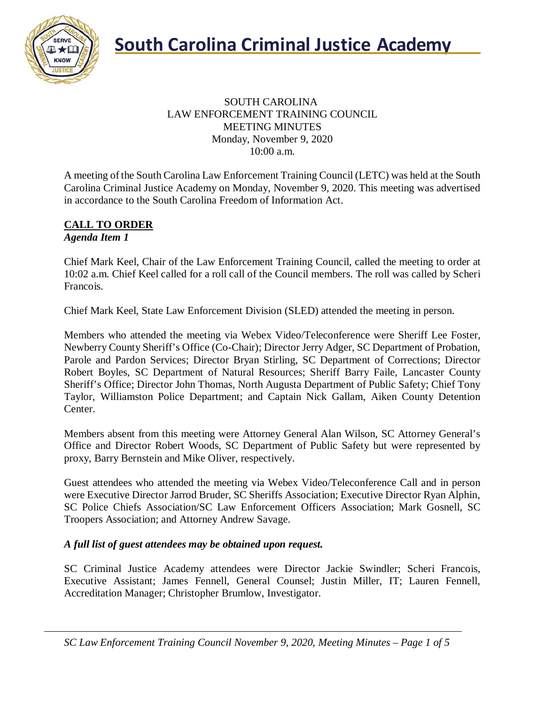

### SOUTH CAROLINA LAW ENFORCEMENT TRAINING COUNCIL MEETING MINUTES Monday, November 9, 2020 10:00 a.m.

A meeting of the South Carolina Law Enforcement Training Council (LETC) was held at the South Carolina Criminal Justice Academy on Monday, November 9, 2020. This meeting was advertised in accordance to the South Carolina Freedom of Information Act.

#### **CALL TO ORDER** *Agenda Item 1*

Chief Mark Keel, Chair of the Law Enforcement Training Council, called the meeting to order at 10:02 a.m. Chief Keel called for a roll call of the Council members. The roll was called by Scheri Francois.

Chief Mark Keel, State Law Enforcement Division (SLED) attended the meeting in person.

Members who attended the meeting via Webex Video/Teleconference were Sheriff Lee Foster, Newberry County Sheriff's Office (Co-Chair); Director Jerry Adger, SC Department of Probation, Parole and Pardon Services; Director Bryan Stirling, SC Department of Corrections; Director Robert Boyles, SC Department of Natural Resources; Sheriff Barry Faile, Lancaster County Sheriff's Office; Director John Thomas, North Augusta Department of Public Safety; Chief Tony Taylor, Williamston Police Department; and Captain Nick Gallam, Aiken County Detention Center.

Members absent from this meeting were Attorney General Alan Wilson, SC Attorney General's Office and Director Robert Woods, SC Department of Public Safety but were represented by proxy, Barry Bernstein and Mike Oliver, respectively.

Guest attendees who attended the meeting via Webex Video/Teleconference Call and in person were Executive Director Jarrod Bruder, SC Sheriffs Association; Executive Director Ryan Alphin, SC Police Chiefs Association/SC Law Enforcement Officers Association; Mark Gosnell, SC Troopers Association; and Attorney Andrew Savage.

## *A full list of guest attendees may be obtained upon request.*

SC Criminal Justice Academy attendees were Director Jackie Swindler; Scheri Francois, Executive Assistant; James Fennell, General Counsel; Justin Miller, IT; Lauren Fennell, Accreditation Manager; Christopher Brumlow, Investigator.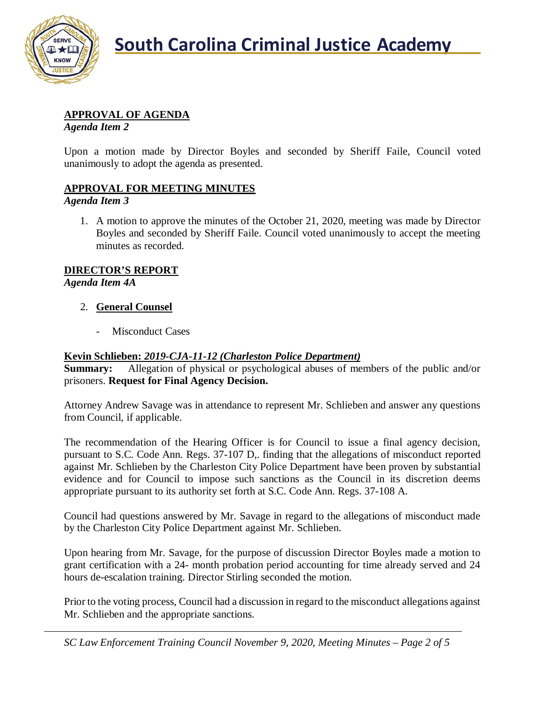

# **APPROVAL OF AGENDA**

*Agenda Item 2*

Upon a motion made by Director Boyles and seconded by Sheriff Faile, Council voted unanimously to adopt the agenda as presented.

## **APPROVAL FOR MEETING MINUTES**

### *Agenda Item 3*

1. A motion to approve the minutes of the October 21, 2020, meeting was made by Director Boyles and seconded by Sheriff Faile. Council voted unanimously to accept the meeting minutes as recorded.

# **DIRECTOR'S REPORT**

*Agenda Item 4A*

- 2. **General Counsel**
	- Misconduct Cases

# **Kevin Schlieben:** *2019-CJA-11-12 (Charleston Police Department)*

**Summary:** Allegation of physical or psychological abuses of members of the public and/or prisoners. **Request for Final Agency Decision.**

Attorney Andrew Savage was in attendance to represent Mr. Schlieben and answer any questions from Council, if applicable.

The recommendation of the Hearing Officer is for Council to issue a final agency decision, pursuant to S.C. Code Ann. Regs. 37-107 D,. finding that the allegations of misconduct reported against Mr. Schlieben by the Charleston City Police Department have been proven by substantial evidence and for Council to impose such sanctions as the Council in its discretion deems appropriate pursuant to its authority set forth at S.C. Code Ann. Regs. 37-108 A.

Council had questions answered by Mr. Savage in regard to the allegations of misconduct made by the Charleston City Police Department against Mr. Schlieben.

Upon hearing from Mr. Savage, for the purpose of discussion Director Boyles made a motion to grant certification with a 24- month probation period accounting for time already served and 24 hours de-escalation training. Director Stirling seconded the motion.

Prior to the voting process, Council had a discussion in regard to the misconduct allegations against Mr. Schlieben and the appropriate sanctions.

*SC Law Enforcement Training Council November 9, 2020, Meeting Minutes – Page 2 of 5*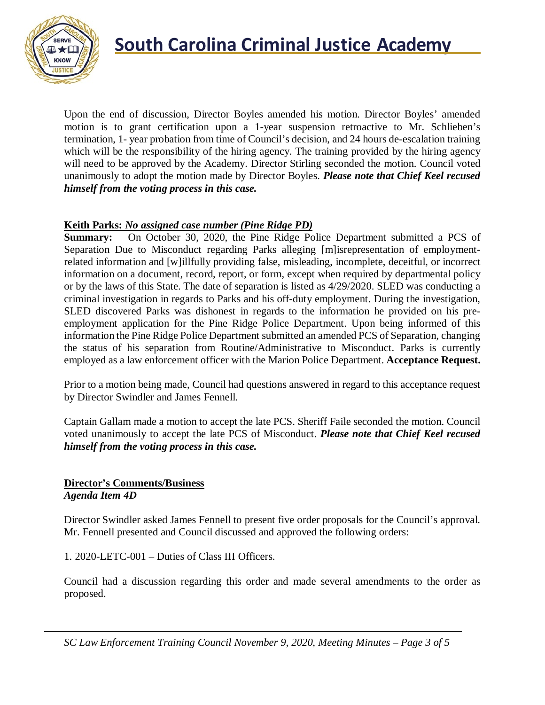

Upon the end of discussion, Director Boyles amended his motion. Director Boyles' amended motion is to grant certification upon a 1-year suspension retroactive to Mr. Schlieben's termination, 1- year probation from time of Council's decision, and 24 hours de-escalation training which will be the responsibility of the hiring agency. The training provided by the hiring agency will need to be approved by the Academy. Director Stirling seconded the motion. Council voted unanimously to adopt the motion made by Director Boyles. *Please note that Chief Keel recused himself from the voting process in this case.*

## **Keith Parks:** *No assigned case number (Pine Ridge PD)*

**Summary:** On October 30, 2020, the Pine Ridge Police Department submitted a PCS of Separation Due to Misconduct regarding Parks alleging [m]isrepresentation of employmentrelated information and [w]illfully providing false, misleading, incomplete, deceitful, or incorrect information on a document, record, report, or form, except when required by departmental policy or by the laws of this State. The date of separation is listed as 4/29/2020. SLED was conducting a criminal investigation in regards to Parks and his off-duty employment. During the investigation, SLED discovered Parks was dishonest in regards to the information he provided on his preemployment application for the Pine Ridge Police Department. Upon being informed of this information the Pine Ridge Police Department submitted an amended PCS of Separation, changing the status of his separation from Routine/Administrative to Misconduct. Parks is currently employed as a law enforcement officer with the Marion Police Department. **Acceptance Request.**

Prior to a motion being made, Council had questions answered in regard to this acceptance request by Director Swindler and James Fennell.

Captain Gallam made a motion to accept the late PCS. Sheriff Faile seconded the motion. Council voted unanimously to accept the late PCS of Misconduct. *Please note that Chief Keel recused himself from the voting process in this case.*

### **Director's Comments/Business** *Agenda Item 4D*

Director Swindler asked James Fennell to present five order proposals for the Council's approval. Mr. Fennell presented and Council discussed and approved the following orders:

1. 2020-LETC-001 – Duties of Class III Officers.

Council had a discussion regarding this order and made several amendments to the order as proposed.

*SC Law Enforcement Training Council November 9, 2020, Meeting Minutes – Page 3 of 5*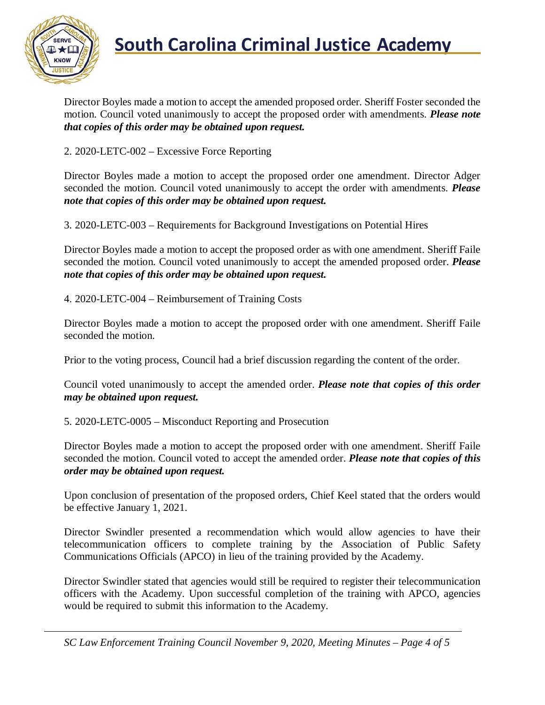

Director Boyles made a motion to accept the amended proposed order. Sheriff Foster seconded the motion. Council voted unanimously to accept the proposed order with amendments. *Please note that copies of this order may be obtained upon request.*

2. 2020-LETC-002 – Excessive Force Reporting

Director Boyles made a motion to accept the proposed order one amendment. Director Adger seconded the motion. Council voted unanimously to accept the order with amendments. *Please note that copies of this order may be obtained upon request.*

3. 2020-LETC-003 – Requirements for Background Investigations on Potential Hires

Director Boyles made a motion to accept the proposed order as with one amendment. Sheriff Faile seconded the motion. Council voted unanimously to accept the amended proposed order. *Please note that copies of this order may be obtained upon request.*

4. 2020-LETC-004 – Reimbursement of Training Costs

Director Boyles made a motion to accept the proposed order with one amendment. Sheriff Faile seconded the motion.

Prior to the voting process, Council had a brief discussion regarding the content of the order.

Council voted unanimously to accept the amended order. *Please note that copies of this order may be obtained upon request.*

5. 2020-LETC-0005 – Misconduct Reporting and Prosecution

Director Boyles made a motion to accept the proposed order with one amendment. Sheriff Faile seconded the motion. Council voted to accept the amended order. *Please note that copies of this order may be obtained upon request.*

Upon conclusion of presentation of the proposed orders, Chief Keel stated that the orders would be effective January 1, 2021.

Director Swindler presented a recommendation which would allow agencies to have their telecommunication officers to complete training by the Association of Public Safety Communications Officials (APCO) in lieu of the training provided by the Academy.

Director Swindler stated that agencies would still be required to register their telecommunication officers with the Academy. Upon successful completion of the training with APCO, agencies would be required to submit this information to the Academy.

*SC Law Enforcement Training Council November 9, 2020, Meeting Minutes – Page 4 of 5*